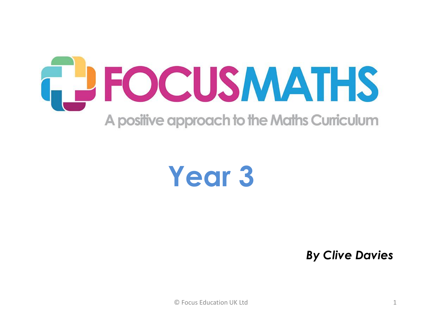

## **Year 3**

*By Clive Davies*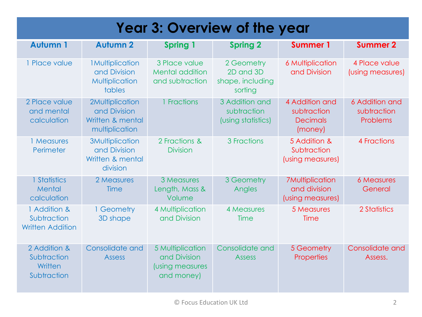| <b>Year 3: Overview of the year</b>                    |                                                                        |                                                                   |                                                        |                                                             |                                           |  |  |
|--------------------------------------------------------|------------------------------------------------------------------------|-------------------------------------------------------------------|--------------------------------------------------------|-------------------------------------------------------------|-------------------------------------------|--|--|
| <b>Autumn 1</b>                                        | <b>Autumn 2</b>                                                        | Spring 1                                                          | <b>Spring 2</b>                                        | <b>Summer 1</b>                                             | <b>Summer 2</b>                           |  |  |
| 1 Place value                                          | <b>1Multiplication</b><br>and Division<br>Multiplication<br>tables     | 3 Place value<br><b>Mental addition</b><br>and subtraction        | 2 Geometry<br>2D and 3D<br>shape, including<br>sorting | <b>6 Multiplication</b><br>and Division                     | 4 Place value<br>(using measures)         |  |  |
| 2 Place value<br>and mental<br>calculation             | 2Multiplication<br>and Division<br>Written & mental<br>multiplication  | 1 Fractions                                                       | 3 Addition and<br>subtraction<br>(using statistics)    | 4 Addition and<br>subtraction<br><b>Decimals</b><br>(money) | 6 Addition and<br>subtraction<br>Problems |  |  |
| 1 Measures<br>Perimeter                                | <b>3Multiplication</b><br>and Division<br>Written & mental<br>division | 2 Fractions &<br><b>Division</b>                                  | 3 Fractions                                            | 5 Addition &<br>Subtraction<br>(using measures)             | 4 Fractions                               |  |  |
| 1 Statistics<br>Mental<br>calculation                  | 2 Measures<br>Time                                                     | 3 Measures<br>Length, Mass &<br>Volume                            | 3 Geometry<br>Angles                                   | <b>7Multiplication</b><br>and division<br>(using measures)  | <b>6 Measures</b><br>General              |  |  |
| 1 Addition &<br>Subtraction<br><b>Written Addition</b> | 1 Geometry<br>3D shape                                                 | 4 Multiplication<br>and Division                                  | 4 Measures<br>Time                                     | 5 Measures<br>Time                                          | 2 Statistics                              |  |  |
| 2 Addition &<br>Subtraction<br>Written<br>Subtraction  | Consolidate and<br><b>Assess</b>                                       | 5 Multiplication<br>and Division<br>(using measures<br>and money) | Consolidate and<br><b>Assess</b>                       | 5 Geometry<br><b>Properties</b>                             | Consolidate and<br>Assess.                |  |  |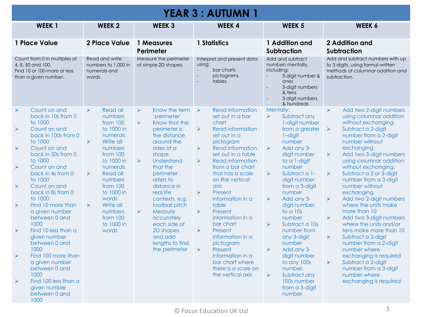| <b>YEAR 3 : AUTUMN 1</b>                                                                                                                                                                                                                                                                                                                                                                                                                                                                                                                                                                                                         |                                                                                                                                                                                                                                                                                                                                                        |                                                                                                                                                                                                                                                                                                                                                                                                                                                                         |                                                                                                                                                                                                                                                                                                                                                                                                                                                                                                                                                                                                                       |                                                                                                                                                                                                                                                                                                                                                                                                                                                                                                                             |                                                                                                                                                                                                                                                                                                                                                                                                                                                                                                                                                                                                                                                                                                                                                                                                      |  |  |
|----------------------------------------------------------------------------------------------------------------------------------------------------------------------------------------------------------------------------------------------------------------------------------------------------------------------------------------------------------------------------------------------------------------------------------------------------------------------------------------------------------------------------------------------------------------------------------------------------------------------------------|--------------------------------------------------------------------------------------------------------------------------------------------------------------------------------------------------------------------------------------------------------------------------------------------------------------------------------------------------------|-------------------------------------------------------------------------------------------------------------------------------------------------------------------------------------------------------------------------------------------------------------------------------------------------------------------------------------------------------------------------------------------------------------------------------------------------------------------------|-----------------------------------------------------------------------------------------------------------------------------------------------------------------------------------------------------------------------------------------------------------------------------------------------------------------------------------------------------------------------------------------------------------------------------------------------------------------------------------------------------------------------------------------------------------------------------------------------------------------------|-----------------------------------------------------------------------------------------------------------------------------------------------------------------------------------------------------------------------------------------------------------------------------------------------------------------------------------------------------------------------------------------------------------------------------------------------------------------------------------------------------------------------------|------------------------------------------------------------------------------------------------------------------------------------------------------------------------------------------------------------------------------------------------------------------------------------------------------------------------------------------------------------------------------------------------------------------------------------------------------------------------------------------------------------------------------------------------------------------------------------------------------------------------------------------------------------------------------------------------------------------------------------------------------------------------------------------------------|--|--|
| WEEK <sub>1</sub>                                                                                                                                                                                                                                                                                                                                                                                                                                                                                                                                                                                                                | <b>WEEK 2</b>                                                                                                                                                                                                                                                                                                                                          | <b>WEEK 3</b>                                                                                                                                                                                                                                                                                                                                                                                                                                                           | <b>WEEK4</b>                                                                                                                                                                                                                                                                                                                                                                                                                                                                                                                                                                                                          | <b>WEEK 5</b>                                                                                                                                                                                                                                                                                                                                                                                                                                                                                                               | WEEK 6                                                                                                                                                                                                                                                                                                                                                                                                                                                                                                                                                                                                                                                                                                                                                                                               |  |  |
| 1 Place Value                                                                                                                                                                                                                                                                                                                                                                                                                                                                                                                                                                                                                    | <b>2 Place Value</b>                                                                                                                                                                                                                                                                                                                                   | 1 Measures<br>Perimeter                                                                                                                                                                                                                                                                                                                                                                                                                                                 | 1 Statistics                                                                                                                                                                                                                                                                                                                                                                                                                                                                                                                                                                                                          | 1 Addition and<br><b>Subtraction</b>                                                                                                                                                                                                                                                                                                                                                                                                                                                                                        | 2 Addition and<br><b>Subtraction</b>                                                                                                                                                                                                                                                                                                                                                                                                                                                                                                                                                                                                                                                                                                                                                                 |  |  |
| Count from 0 in multiples of<br>4, 8, 50 and 100.<br>Find 10 or 100 more or less<br>than a given number.                                                                                                                                                                                                                                                                                                                                                                                                                                                                                                                         | Read and write<br>numbers to 1,000 in<br>numerals and<br>words                                                                                                                                                                                                                                                                                         | Measure the perimeter<br>of simple 2D shapes.                                                                                                                                                                                                                                                                                                                                                                                                                           | Interpret and present data<br>using:<br>bar charts<br>pictograms<br>$\overline{a}$<br>tables                                                                                                                                                                                                                                                                                                                                                                                                                                                                                                                          | Add and subtract<br>numbers mentally,<br>including:<br>3-digit number &<br>ones<br>3-digit numbers<br>& tens<br>3-digit numbers<br>$\overline{\phantom{a}}$<br>& hundreds                                                                                                                                                                                                                                                                                                                                                   | Add and subtract numbers with up<br>to 3 digits, using formal written<br>methods of columnar addition and<br>subtraction.                                                                                                                                                                                                                                                                                                                                                                                                                                                                                                                                                                                                                                                                            |  |  |
| Count on and<br>$\blacktriangleright$<br>back in 10s from 0<br>to 1000<br>$\blacktriangleright$<br>Count on and<br>back in 100s from 0<br>to 1000<br>Count on and<br>$\blacktriangleright$<br>back in 50s from 0<br>to 1000<br>Count on and<br>$\blacktriangleright$<br>back in 4s from 0<br>to 1000<br>Count on and<br>$\blacktriangleright$<br>back in 8s from 0<br>to 1000<br>Find 10 more than<br>$\blacktriangleright$<br>a given number<br>between 0 and<br>1000<br>Find 10 less than a<br>$\blacktriangleright$<br>given number<br>between 0 and<br>1000<br>Find 100 more than<br>$\blacktriangleright$<br>a given number | Read all<br>$\blacktriangleright$<br>numbers<br>from $100$<br>to 1000 in<br>numerals<br>$\blacktriangleright$<br>Write all<br>numbers<br>from $100$<br>to 1000 in<br>numerals<br>$\blacktriangleright$<br>Read all<br>numbers<br>from 100<br>to 1000 in<br>words<br>$\blacktriangleright$<br>Write all<br>numbers<br>from $100$<br>to 1000 in<br>words | Know the term $\triangleright$<br>$\blacktriangleright$<br>'perimeter'<br>$\blacktriangleright$<br>Know that the<br>perimeter is<br>the distance<br>around the<br>sides of a<br>shape<br>$\blacktriangleright$<br><b>Understand</b><br>that the<br>perimeter<br>refers to<br>distance in<br>real life<br>contexts, e.g.<br>football pitch<br>$\blacktriangleright$<br>Measure<br>accurately<br>each side of<br>2D shapes<br>and add<br>lengths to find<br>the perimeter | Read information<br>set out in a bar<br>chart<br>$\blacktriangleright$<br><b>Read information</b><br>set out in a<br>pictogram<br><b>Read information</b><br>$\blacktriangleright$<br>set out in a table<br>$\blacktriangleright$<br><b>Read information</b><br>from a bar chart<br>that has a scale<br>on the vertical<br>axis<br>$\blacktriangleright$<br>Present<br>information in a<br>table<br>$\blacktriangleright$<br>Present<br>information in a<br>bar chart<br>$\blacktriangleright$<br>Present<br>information in a<br>pictogram<br>$\blacktriangleright$<br>Present<br>information in a<br>bar chart where | Mentally:<br>Subtract any<br>$\blacktriangleright$<br>1-digit number<br>from a greater<br>$1$ -digit<br>number<br>Add any 3-<br>$\blacktriangleright$<br>digit number<br>to a 1-digit<br>number<br>$\blacktriangleright$<br>Subtract a 1-<br>digit number<br>from a 3-digit<br>number<br>Add any 3-<br>$\blacktriangleright$<br>digit number<br>to a 10s<br>number<br>$\blacktriangleright$<br>Subtract a 10s<br>number from<br>any 3-digit<br>number<br>$\blacktriangleright$<br>Add any 3-<br>digit number<br>to any 100s | Add two 2-digit numbers<br>$\blacktriangleright$<br>using columnar addition<br>without exchanging.<br>Subtract a 2-digit<br>$\blacktriangleright$<br>number from a 2-digit<br>number without<br>exchanging.<br>$\blacktriangleright$<br>Add two 3-digit numbers<br>using columnar addition<br>without exchanging.<br>$\blacktriangleright$<br>Subtract a 2 or 3-digit<br>number from a 3-digit<br>number without<br>exchanging.<br>$\blacktriangleright$<br>Add two 2-digit numbers<br>where the units make<br>more than 10<br>$\blacktriangleright$<br>Add two 3-digit numbers<br>where the units and/or<br>tens make more than 10<br>$\blacktriangleright$<br>Subtract a 2-digit<br>number from a 2-digit<br>number where<br>exchanging is required<br>$\blacktriangleright$<br>Subtract a 2-digit |  |  |
| between 0 and<br>1000<br>Find 100 less than a<br>$\blacktriangleright$<br>given number<br>between 0 and<br>1000                                                                                                                                                                                                                                                                                                                                                                                                                                                                                                                  |                                                                                                                                                                                                                                                                                                                                                        |                                                                                                                                                                                                                                                                                                                                                                                                                                                                         | there is a scale on<br>the vertical axis                                                                                                                                                                                                                                                                                                                                                                                                                                                                                                                                                                              | number.<br>Subtract any<br>$\blacktriangleright$<br>100s number<br>from a 3-digit<br>number                                                                                                                                                                                                                                                                                                                                                                                                                                 | number from a 3-digit<br>number where<br>exchanging is required                                                                                                                                                                                                                                                                                                                                                                                                                                                                                                                                                                                                                                                                                                                                      |  |  |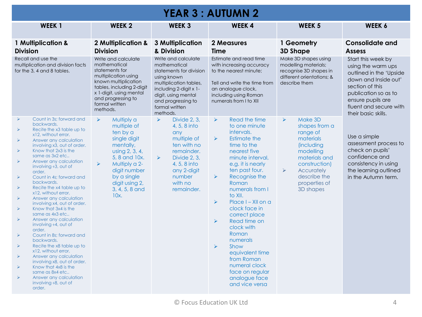| <b>YEAR 3 : AUTUMN 2</b>                                                                                                                                                                                                                                                                                                                                                                                                                                                                                                                                                                                                                                                                                                                                                                                                                                                                                                                                                                           |                                                                                                                                                                                                                                                        |                                                                                                                                                                                                                     |                                                                                                                                                                                                                                                                                                                                                                                                                                                                                                                                                                                                        |                                                                                                                                                                                                                                            |                                                                                                                                                                                                              |  |  |
|----------------------------------------------------------------------------------------------------------------------------------------------------------------------------------------------------------------------------------------------------------------------------------------------------------------------------------------------------------------------------------------------------------------------------------------------------------------------------------------------------------------------------------------------------------------------------------------------------------------------------------------------------------------------------------------------------------------------------------------------------------------------------------------------------------------------------------------------------------------------------------------------------------------------------------------------------------------------------------------------------|--------------------------------------------------------------------------------------------------------------------------------------------------------------------------------------------------------------------------------------------------------|---------------------------------------------------------------------------------------------------------------------------------------------------------------------------------------------------------------------|--------------------------------------------------------------------------------------------------------------------------------------------------------------------------------------------------------------------------------------------------------------------------------------------------------------------------------------------------------------------------------------------------------------------------------------------------------------------------------------------------------------------------------------------------------------------------------------------------------|--------------------------------------------------------------------------------------------------------------------------------------------------------------------------------------------------------------------------------------------|--------------------------------------------------------------------------------------------------------------------------------------------------------------------------------------------------------------|--|--|
| WEEK <sub>1</sub>                                                                                                                                                                                                                                                                                                                                                                                                                                                                                                                                                                                                                                                                                                                                                                                                                                                                                                                                                                                  | <b>WEEK 2</b>                                                                                                                                                                                                                                          | <b>WEEK 3</b>                                                                                                                                                                                                       | <b>WEEK4</b>                                                                                                                                                                                                                                                                                                                                                                                                                                                                                                                                                                                           | <b>WEEK 5</b>                                                                                                                                                                                                                              | WEEK 6                                                                                                                                                                                                       |  |  |
| 1 Multiplication &<br><b>Division</b>                                                                                                                                                                                                                                                                                                                                                                                                                                                                                                                                                                                                                                                                                                                                                                                                                                                                                                                                                              | 2 Multiplication &<br><b>Division</b>                                                                                                                                                                                                                  | <b>3 Multiplication</b><br>& Division                                                                                                                                                                               | 2 Measures<br><b>Time</b>                                                                                                                                                                                                                                                                                                                                                                                                                                                                                                                                                                              | 1 Geometry<br><b>3D Shape</b>                                                                                                                                                                                                              | <b>Consolidate and</b><br><b>Assess</b>                                                                                                                                                                      |  |  |
| Recall and use the<br>multiplication and division facts<br>for the 3, 4 and 8 tables.                                                                                                                                                                                                                                                                                                                                                                                                                                                                                                                                                                                                                                                                                                                                                                                                                                                                                                              | Write and calculate<br>mathematical<br>statements for<br>multiplication using<br>known multiplication<br>tables, including 2-digit<br>x 1-digit, using mental<br>and progressing to<br>formal written<br>methods.                                      | Write and calculate<br>mathematical<br>statements for division<br>using known<br>multiplication tables,<br>including 2-digit x 1-<br>digit, using mental<br>and progressing to<br>formal written<br>methods.        | Estimate and read time<br>with increasing accuracy<br>to the nearest minute;<br>Tell and write the time from<br>an analogue clock,<br>including using Roman<br>numerals from I to XII                                                                                                                                                                                                                                                                                                                                                                                                                  | Make 3D shapes using<br>modelling materials;<br>recognise 3D shapes in<br>different orientations: &<br>describe them                                                                                                                       | Start this week by<br>using the warm ups<br>outlined in the 'Upside<br>down and Inside out'<br>section of this<br>publication so as to<br>ensure pupils are<br>fluent and secure with<br>their basic skills. |  |  |
| Count in 3s: forward and<br>⋗<br>backwards.<br>Recite the x3 table up to<br>⋗<br>x12, without error.<br>Answer any calculation<br>➤<br>involving x3, out of order.<br>Know that 2x3 is the<br>$\blacktriangleright$<br>same as 3x2 etc<br>Answer any calculation<br>➤<br>involving $\div 3$ , out of<br>order.<br>Count in 4s; forward and<br>$\blacktriangleright$<br>backwards.<br>$\blacktriangleright$<br>Recite the x4 table up to<br>x12, without error.<br>Answer any calculation<br>➤<br>involving x4, out of order.<br>Know that 3x4 is the<br>➤<br>same as 4x3 etc<br>Answer any calculation<br>$\blacktriangleright$<br>involving $\div 4$ , out of<br>order.<br>Count in 8s: forward and<br>⋗<br>backwards.<br>$\blacktriangleright$<br>Recite the x8 table up to<br>x12, without error.<br>$\blacktriangleright$<br>Answer any calculation<br>involving x8, out of order.<br>Know that 4x8 is the<br>same as 8x4 etc<br>➤<br>Answer any calculation<br>involving ÷8, out of<br>order. | Multiply a<br>$\blacktriangleright$<br>multiple of<br>ten by a<br>single digit<br>mentally,<br>using 2, 3, 4,<br>5, 8 and 10x.<br>Multiply a 2-<br>$\blacktriangleright$<br>digit number<br>by a single<br>digit using 2,<br>3, 4, 5, 8 and<br>$10x$ . | $\blacktriangleright$<br>Divide 2, 3,<br>4, 5, 8 into<br>any<br>multiple of<br>ten with no<br>remainder.<br>$\blacktriangleright$<br>Divide 2, 3,<br>4, 5, 8 into<br>any 2-digit<br>number<br>with no<br>remainder. | Read the time<br>$\blacktriangleright$<br>to one minute<br>intervals.<br><b>Estimate the</b><br>$\blacktriangleright$<br>time to the<br>nearest five<br>minute interval.<br>e.g. it is nearly<br>ten past four.<br>Recognise the<br>$\blacktriangleright$<br>Roman<br>numerals from I<br>to XII.<br>$\blacktriangleright$<br>Place I - XII on a<br>clock face in<br>correct place<br>$\blacktriangleright$<br>Read time on<br>clock with<br>Roman<br>numerals<br>$\blacktriangleright$<br>Show<br>equivalent time<br>from Roman<br>numeral clock<br>face on regular<br>analogue face<br>and vice versa | $\blacktriangleright$<br>Make 3D<br>shapes from a<br>range of<br>materials<br><i>(including</i><br>modelling<br>materials and<br>construction)<br>$\blacktriangleright$<br><b>Accurately</b><br>describe the<br>properties of<br>3D shapes | Use a simple<br>assessment process to<br>check on pupils'<br>confidence and<br>consistency in using<br>the learning outlined<br>in the Autumn term.                                                          |  |  |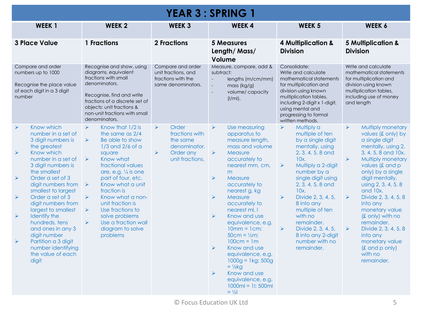| <b>YEAR 3 : SPRING 1</b>                                                                                                                                                                                                                                                                                                                                                                                                                                                                                                                                                                                    |                                                                                                                                                                                                                                                                                                                                                                                                                                                                                                        |                                                                                                                                       |                                                                                                                                                                                                                                                                                                                                                                                                                                                                                                                                                                                                                                                                 |                                                                                                                                                                                                                                                                                                                                                                                                                                                            |                                                                                                                                                                                                                                                                                                                                                                                                                                                                                                                                   |  |
|-------------------------------------------------------------------------------------------------------------------------------------------------------------------------------------------------------------------------------------------------------------------------------------------------------------------------------------------------------------------------------------------------------------------------------------------------------------------------------------------------------------------------------------------------------------------------------------------------------------|--------------------------------------------------------------------------------------------------------------------------------------------------------------------------------------------------------------------------------------------------------------------------------------------------------------------------------------------------------------------------------------------------------------------------------------------------------------------------------------------------------|---------------------------------------------------------------------------------------------------------------------------------------|-----------------------------------------------------------------------------------------------------------------------------------------------------------------------------------------------------------------------------------------------------------------------------------------------------------------------------------------------------------------------------------------------------------------------------------------------------------------------------------------------------------------------------------------------------------------------------------------------------------------------------------------------------------------|------------------------------------------------------------------------------------------------------------------------------------------------------------------------------------------------------------------------------------------------------------------------------------------------------------------------------------------------------------------------------------------------------------------------------------------------------------|-----------------------------------------------------------------------------------------------------------------------------------------------------------------------------------------------------------------------------------------------------------------------------------------------------------------------------------------------------------------------------------------------------------------------------------------------------------------------------------------------------------------------------------|--|
| WEEK <sub>1</sub>                                                                                                                                                                                                                                                                                                                                                                                                                                                                                                                                                                                           | <b>WEEK 2</b>                                                                                                                                                                                                                                                                                                                                                                                                                                                                                          | <b>WEEK 3</b>                                                                                                                         | <b>WEEK4</b>                                                                                                                                                                                                                                                                                                                                                                                                                                                                                                                                                                                                                                                    | <b>WEEK 5</b>                                                                                                                                                                                                                                                                                                                                                                                                                                              | WEEK 6                                                                                                                                                                                                                                                                                                                                                                                                                                                                                                                            |  |
| <b>3 Place Value</b>                                                                                                                                                                                                                                                                                                                                                                                                                                                                                                                                                                                        | 1 Fractions                                                                                                                                                                                                                                                                                                                                                                                                                                                                                            | <b>2 Fractions</b>                                                                                                                    | <b>5 Measures</b><br>Length/Mass/<br>Volume                                                                                                                                                                                                                                                                                                                                                                                                                                                                                                                                                                                                                     | 4 Multiplication &<br><b>Division</b>                                                                                                                                                                                                                                                                                                                                                                                                                      | <b>5 Multiplication &amp;</b><br><b>Division</b>                                                                                                                                                                                                                                                                                                                                                                                                                                                                                  |  |
| Compare and order<br>numbers up to 1000<br>Recognise the place value<br>of each digit in a 3 digit<br>number                                                                                                                                                                                                                                                                                                                                                                                                                                                                                                | Recognise and show, using<br>diagrams, equivalent<br>fractions with small<br>denominators.<br>Recognise, find and write<br>fractions of a discrete set of<br>objects: unit fractions &<br>non-unit fractions with small<br>denominators.                                                                                                                                                                                                                                                               | Compare and order<br>unit fractions, and<br>fractions with the<br>same denominators.                                                  | Measure, compare, add &<br>subtract:<br>lengths (m/cm/mm)<br>$\mathcal{L}$<br>mass (kg/g)<br>$\mathcal{L}$<br>volume/capacity<br>$\mathcal{L}$<br>$(I/ml)$ .                                                                                                                                                                                                                                                                                                                                                                                                                                                                                                    | Consolidate:<br>Write and calculate<br>mathematical statements<br>for multiplication and<br>division using known<br>multiplication tables,<br>including 2-digit x 1-digit,<br>using mental and<br>progressing to formal<br>written methods.                                                                                                                                                                                                                | Write and calculate<br>mathematical statements<br>for multiplication and<br>division using known<br>multiplication tables,<br>including use of money<br>and length                                                                                                                                                                                                                                                                                                                                                                |  |
| Know which<br>$\blacktriangleright$<br>number in a set of<br>3 digit numbers is<br>the greatest<br>$\blacktriangleright$<br>Know which<br>number in a set of<br>3 digit numbers is<br>the smallest<br>$\blacktriangleright$<br>Order a set of 3<br>digit numbers from $\triangleright$<br>smallest to largest<br>Order a set of 3<br>$\blacktriangleright$<br>digit numbers from<br>largest to smallest<br>$\blacktriangleright$<br>Identify the<br>hundreds, tens<br>and ones in any 3<br>digit number<br>Partition a 3 digit<br>$\blacktriangleright$<br>number identifying<br>the value of each<br>digit | Know that 1/2 is<br>$\blacktriangleright$<br>the same as 2/4<br>$\blacktriangleright$<br>Be able to show<br>$1/3$ and $2/6$ of a<br>square<br>$\blacktriangleright$<br>Know what<br>fractional values<br>are, e.g. 1/4 is one<br>part of four, etc.<br>Know what a unit<br>fraction is<br>$\blacktriangleright$<br>Know what a non-<br>unit fraction is<br>$\blacktriangleright$<br>Use fractions to<br>solve problems<br>Use a fraction wall<br>$\blacktriangleright$<br>diagram to solve<br>problems | Order<br>$\blacktriangleright$<br>fractions with<br>the same<br>denominator.<br>Order any<br>$\blacktriangleright$<br>unit fractions. | $\blacktriangleright$<br>Use measuring<br>apparatus to<br>measure length,<br>mass and volume<br>$\blacktriangleright$<br>Measure<br>accurately to<br>nearest mm, cm,<br>m<br>$\blacktriangleright$<br>Measure<br>accurately to<br>nearest g, kg<br>$\blacktriangleright$<br>Measure<br>accurately to<br>nearest ml, I<br>$\blacktriangleright$<br>Know and use<br>equivalence, e.g.<br>$10mm = 1cm$ ;<br>$50cm = 1/2m$ ;<br>$100cm = 1m$<br>$\blacktriangleright$<br>Know and use<br>equivalence, e.g.<br>$1000g = 1kg$ ; 500g<br>$= \frac{1}{2}$ kg<br>$\blacktriangleright$<br>Know and use<br>equivalence, e.g.<br>$1000ml = 11; 500ml$<br>$=$ $\frac{1}{2}$ | $\blacktriangleright$<br>Multiply a<br>multiple of ten<br>by a single digit<br>mentally, using<br>2, 3, 4, 5, 8 and<br>10x.<br>Multiply a 2-digit<br>$\blacktriangleright$<br>number by a<br>single digit using<br>2, 3, 4, 5, 8 and<br>10x.<br>$\blacktriangleright$<br>Divide 2, 3, 4, 5,<br>8 into any<br>multiple of ten<br>with no<br>remainder.<br>$\blacktriangleright$<br>Divide 2, 3, 4, 5,<br>8 into any 2-digit<br>number with no<br>remainder. | $\blacktriangleright$<br><b>Multiply monetary</b><br>values (£ only) by<br>a single digit<br>mentally, using 2,<br>3, 4, 5, 8 and 10x.<br>$\blacktriangleright$<br>Multiply monetary<br>values (£ and p<br>only) by a single<br>digit mentally,<br>using 2, 3, 4, 5, 8<br>and 10x.<br>$\blacktriangleright$<br>Divide 2, 3, 4, 5, 8<br>into any<br>monetary value<br>(£ only) with no<br>remainder.<br>$\blacktriangleright$<br>Divide 2, 3, 4, 5, 8<br>into any<br>monetary value<br>$f(x)$ and p only)<br>with no<br>remainder. |  |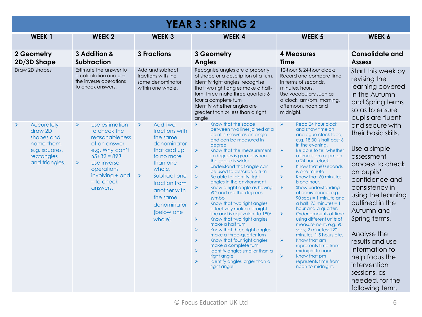| <b>YEAR 3: SPRING 2</b>                                                                                        |                                                                                                                                                                                                                                 |                                                                                                                                                                                                                                                                |                                                                                                                                                                                                                                                                                                                                                                                                                                                                                                                                                                                                                                                                                                                                                                                                                                                                                                                                                                                                               |                                                                                                                                                                                                                                                                                                                                                                                                                                                                                                                                                                                                                                                                                                                                                                                                                                                                        |                                                                                                                                                                                                                                                                                                                                                                |  |  |
|----------------------------------------------------------------------------------------------------------------|---------------------------------------------------------------------------------------------------------------------------------------------------------------------------------------------------------------------------------|----------------------------------------------------------------------------------------------------------------------------------------------------------------------------------------------------------------------------------------------------------------|---------------------------------------------------------------------------------------------------------------------------------------------------------------------------------------------------------------------------------------------------------------------------------------------------------------------------------------------------------------------------------------------------------------------------------------------------------------------------------------------------------------------------------------------------------------------------------------------------------------------------------------------------------------------------------------------------------------------------------------------------------------------------------------------------------------------------------------------------------------------------------------------------------------------------------------------------------------------------------------------------------------|------------------------------------------------------------------------------------------------------------------------------------------------------------------------------------------------------------------------------------------------------------------------------------------------------------------------------------------------------------------------------------------------------------------------------------------------------------------------------------------------------------------------------------------------------------------------------------------------------------------------------------------------------------------------------------------------------------------------------------------------------------------------------------------------------------------------------------------------------------------------|----------------------------------------------------------------------------------------------------------------------------------------------------------------------------------------------------------------------------------------------------------------------------------------------------------------------------------------------------------------|--|--|
| WEEK <sub>1</sub><br><b>WEEK 2</b>                                                                             |                                                                                                                                                                                                                                 | <b>WEEK 3</b><br><b>WEEK4</b>                                                                                                                                                                                                                                  |                                                                                                                                                                                                                                                                                                                                                                                                                                                                                                                                                                                                                                                                                                                                                                                                                                                                                                                                                                                                               | <b>WEEK 5</b>                                                                                                                                                                                                                                                                                                                                                                                                                                                                                                                                                                                                                                                                                                                                                                                                                                                          | WEEK 6                                                                                                                                                                                                                                                                                                                                                         |  |  |
| 3 Addition &<br>2 Geometry<br>2D/3D Shape<br>Subtraction                                                       |                                                                                                                                                                                                                                 | <b>3 Fractions</b><br>3 Geometry<br><b>Angles</b>                                                                                                                                                                                                              |                                                                                                                                                                                                                                                                                                                                                                                                                                                                                                                                                                                                                                                                                                                                                                                                                                                                                                                                                                                                               | <b>4 Measures</b><br><b>Time</b>                                                                                                                                                                                                                                                                                                                                                                                                                                                                                                                                                                                                                                                                                                                                                                                                                                       | <b>Consolidate and</b><br><b>Assess</b>                                                                                                                                                                                                                                                                                                                        |  |  |
| Draw 2D shapes                                                                                                 | Estimate the answer to<br>a calculation and use<br>the inverse operations<br>to check answers.                                                                                                                                  | Add and subtract<br>fractions with the<br>same denominator<br>within one whole.                                                                                                                                                                                | Recognise angles are a property<br>of shape or a description of a turn.<br>Identify right angles; recognise<br>that two right angles make a half-<br>turn, three make three quarters &<br>four a complete turn<br>Identify whether angles are<br>greater than or less than a right<br>angle                                                                                                                                                                                                                                                                                                                                                                                                                                                                                                                                                                                                                                                                                                                   | 12-hour & 24-hour clocks<br>Record and compare time<br>in terms of seconds,<br>minutes, hours.<br>Use vocabulary such as<br>o'clock, am/pm, morning,<br>afternoon, noon and<br>midnight.                                                                                                                                                                                                                                                                                                                                                                                                                                                                                                                                                                                                                                                                               | Start this week by<br>revising the<br>learning covered<br>in the Autumn<br>and Spring terms<br>so as to ensure<br>pupils are fluent                                                                                                                                                                                                                            |  |  |
| <b>Accurately</b><br>➤<br>draw 2D<br>shapes and<br>name them,<br>e.g. squares,<br>rectangles<br>and triangles. | Use estimation<br>$\blacktriangleright$<br>to check the<br>reasonableness<br>of an answer,<br>e.g. Why can't<br>$65+32=89$ ?<br>$\blacktriangleright$<br>Use inverse<br>operations<br>involving + and<br>- to check<br>answers. | Add two<br>$\blacktriangleright$<br>fractions with<br>the same<br>denominator<br>that add up<br>to no more<br>than one<br>whole.<br>Subtract one<br>$\blacktriangleright$<br>fraction from<br>another with<br>the same<br>denominator<br>(below one<br>whole). | Know that the space<br>$\blacktriangleright$<br>between two lines joined at a<br>point is known as an angle<br>and can be measured in<br>degree<br>$\blacktriangleright$<br>Know that the measurement<br>in degrees is greater when<br>the space is wider<br>$\blacktriangleright$<br>Understand that angle can<br>be used to describe a turn<br>$\blacktriangleright$<br>Be able to identify right<br>angles in the environment<br>Know a right angle as having<br>90° and use the degrees<br>symbol<br>Know that two right angles<br>➤<br>effectively make a straight<br>line and is equivalent to 180°<br>Know that two right angles<br>$\blacktriangleright$<br>make a half turn<br>$\blacktriangleright$<br>Know that three right angles<br>make a three-quarter turn<br>$\blacktriangleright$<br>Know that four right angles<br>make a complete turn<br>$\blacktriangleright$<br>Identify angles smaller than a<br>right angle<br>$\blacktriangleright$<br>Identify angles larger than a<br>right angle | Read 24 hour clock<br>$\blacktriangleright$<br>and show time on<br>analogue clock face,<br>e.g. 18:30 is half past 6<br>in the evening.<br>$\blacktriangleright$<br>Be able to tell whether<br>a time is am or pm on<br>a 24 hour clock<br>$\blacktriangleright$<br>Know that 60 seconds<br>is one minute.<br>$\blacktriangleright$<br>Know that 60 minutes<br>is one hour.<br>$\blacktriangleright$<br>Show understanding<br>of equivalence, e.g.<br>$90$ secs = 1 minute and<br>a half: 75 minutes = $1$<br>hour and a quarter.<br>$\blacktriangleright$<br>Order amounts of time<br>using different units of<br>measurement, e.g. 90<br>secs; 2 minutes; 120<br>minutes; 1.5 hours etc.<br>$\blacktriangleright$<br>Know that am<br>represents time from<br>midnight to noon.<br>$\blacktriangleright$<br>Know that pm<br>represents time from<br>noon to midnight. | and secure with<br>their basic skills.<br>Use a simple<br>assessment<br>process to check<br>on pupils'<br>confidence and<br>consistency in<br>using the learning<br>outlined in the<br>Autumn and<br>Spring terms.<br>Analyse the<br>results and use<br>information to<br>help focus the<br>intervention<br>sessions, as<br>needed, for the<br>following term. |  |  |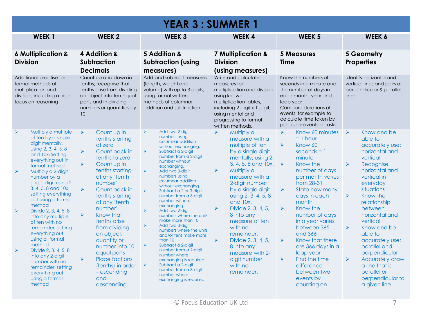| <b>YEAR 3: SUMMER 1</b>                                                                                                                                                                                                                                                                                                                                                                                                                                                                                                                                                                                                                                           |                                                                                                                                                                                                                                                                                                                                                                                                                                                                                                                                                                   |                                                                                                                                                                                                                                                                                                                                                                                                                                                                                                                                                                                                                                                                                                                                                                                                                                                              |                                                                                                                                                                                                                                                                                                                                                                                                                                                                                                                   |                                                                                                                                                                                                                                                                                                                                                                                                                                                                                                                                                             |                                                                                                                                                                                                                                                                                                                                                                                                                                                                                                                        |  |  |
|-------------------------------------------------------------------------------------------------------------------------------------------------------------------------------------------------------------------------------------------------------------------------------------------------------------------------------------------------------------------------------------------------------------------------------------------------------------------------------------------------------------------------------------------------------------------------------------------------------------------------------------------------------------------|-------------------------------------------------------------------------------------------------------------------------------------------------------------------------------------------------------------------------------------------------------------------------------------------------------------------------------------------------------------------------------------------------------------------------------------------------------------------------------------------------------------------------------------------------------------------|--------------------------------------------------------------------------------------------------------------------------------------------------------------------------------------------------------------------------------------------------------------------------------------------------------------------------------------------------------------------------------------------------------------------------------------------------------------------------------------------------------------------------------------------------------------------------------------------------------------------------------------------------------------------------------------------------------------------------------------------------------------------------------------------------------------------------------------------------------------|-------------------------------------------------------------------------------------------------------------------------------------------------------------------------------------------------------------------------------------------------------------------------------------------------------------------------------------------------------------------------------------------------------------------------------------------------------------------------------------------------------------------|-------------------------------------------------------------------------------------------------------------------------------------------------------------------------------------------------------------------------------------------------------------------------------------------------------------------------------------------------------------------------------------------------------------------------------------------------------------------------------------------------------------------------------------------------------------|------------------------------------------------------------------------------------------------------------------------------------------------------------------------------------------------------------------------------------------------------------------------------------------------------------------------------------------------------------------------------------------------------------------------------------------------------------------------------------------------------------------------|--|--|
| <b>WEEK1</b>                                                                                                                                                                                                                                                                                                                                                                                                                                                                                                                                                                                                                                                      | <b>WEEK 2</b>                                                                                                                                                                                                                                                                                                                                                                                                                                                                                                                                                     | <b>WEEK 3</b>                                                                                                                                                                                                                                                                                                                                                                                                                                                                                                                                                                                                                                                                                                                                                                                                                                                | <b>WEEK4</b>                                                                                                                                                                                                                                                                                                                                                                                                                                                                                                      | <b>WEEK 5</b>                                                                                                                                                                                                                                                                                                                                                                                                                                                                                                                                               | <b>WEEK 6</b>                                                                                                                                                                                                                                                                                                                                                                                                                                                                                                          |  |  |
| <b>6 Multiplication &amp;</b><br><b>Division</b>                                                                                                                                                                                                                                                                                                                                                                                                                                                                                                                                                                                                                  | 4 Addition &<br><b>Subtraction</b><br><b>Decimals</b>                                                                                                                                                                                                                                                                                                                                                                                                                                                                                                             | 5 Addition &<br><b>Subtraction (using</b><br>measures)                                                                                                                                                                                                                                                                                                                                                                                                                                                                                                                                                                                                                                                                                                                                                                                                       | <b>7 Multiplication &amp;</b><br><b>Division</b><br>(using measures)                                                                                                                                                                                                                                                                                                                                                                                                                                              | <b>5 Measures</b><br><b>Time</b>                                                                                                                                                                                                                                                                                                                                                                                                                                                                                                                            | 5 Geometry<br><b>Properties</b>                                                                                                                                                                                                                                                                                                                                                                                                                                                                                        |  |  |
| Additional practise for<br>formal methods of<br>multiplication and<br>division, including a high<br>focus on reasoning                                                                                                                                                                                                                                                                                                                                                                                                                                                                                                                                            | Count up and down in<br>tenths; recognise that<br>tenths arise from dividing<br>an object into ten equal<br>parts and in dividing<br>numbers or quantities by<br>10.                                                                                                                                                                                                                                                                                                                                                                                              | Add and subtract measures<br>(length, weight and<br>volume) with up to 3 digits,<br>using formal written<br>methods of columnar<br>addition and subtraction.                                                                                                                                                                                                                                                                                                                                                                                                                                                                                                                                                                                                                                                                                                 | Write and calculate<br>measures for<br>multiplication and division<br>using known<br>multiplication tables,<br>including 2-digit x 1-digit,<br>using mental and<br>progressing to formal<br>written methods.                                                                                                                                                                                                                                                                                                      | Know the numbers of<br>seconds in a minute and<br>the number of days in<br>each month, year and<br>leap year.<br>Compare durations of<br>events, for example to<br>calculate time taken by<br>particular events or tasks.                                                                                                                                                                                                                                                                                                                                   | Identify horizontal and<br>vertical lines and pairs of<br>perpendicular & parallel<br>lines.                                                                                                                                                                                                                                                                                                                                                                                                                           |  |  |
| Multiply a multiple<br>$\blacktriangleright$<br>of ten by a single<br>digit mentally,<br>using 2, 3, 4, 5, 8<br>and 10x; Setting<br>everything out in<br>formal method<br>$\blacktriangleright$<br>Multiply a 2-digit<br>number by a<br>single digit using 2,<br>3, 4, 5, 8 and 10x,<br>setting everything<br>out using a formal<br>method<br>$\blacktriangleright$<br>Divide 2, 3, 4, 5, 8<br>into any multiple<br>of ten with no<br>remainder, setting<br>everything out<br>using a formal<br>method<br>Divide 2, 3, 4, 5, 8<br>$\blacktriangleright$<br>into any 2-digit<br>number with no<br>remainder, setting<br>everything out<br>using a formal<br>method | $\blacktriangleright$<br>Count up in<br>tenths starting<br>at zero<br>$\blacktriangleright$<br>Count back in<br>tenths to zero<br>$\blacktriangleright$<br>Count up in<br>tenths starting<br>at any 'tenth<br>number'<br>$\blacktriangleright$<br>Count back in<br>tenths starting<br>at any 'tenth<br>number'<br>$\blacktriangleright$<br>Know that<br>tenths arise<br>from dividing<br>an object,<br>quantity or<br>number into 10<br>equal parts<br>$\blacktriangleright$<br><b>Place factions</b><br>(tenths) in order<br>$-$ ascending<br>and<br>descending. | $\blacktriangleright$<br>Add two 2-digit<br>numbers using<br>columnar addition<br>without exchanging.<br>$\blacktriangleright$<br>Subtract a 2-digit<br>number from a 2-digit<br>number without<br>exchanging.<br>$\blacktriangleright$<br>Add two 3-digit<br>numbers using<br>columnar addition<br>without exchanging.<br>$\blacktriangleright$<br>Subtract a 2 or 3-digit<br>number from a 3-digit<br>number without<br>exchanging.<br>$\blacktriangleright$<br>Add two 2-digit<br>numbers where the units<br>make more than 10<br>$\blacktriangleright$<br>Add two 3-diait<br>numbers where the units<br>and/or tens make more<br>than 10<br>$\blacktriangleright$<br>Subtract a 2-digit<br>number from a 2-digit<br>number where<br>exchanging is required<br>Subtract a 2-digit<br>➤<br>number from a 3-digit<br>number where<br>exchanging is required | Multiply a<br>$\blacktriangleright$<br>measure with a<br>multiple of ten<br>by a single digit<br>mentally, using 2,<br>3, 4, 5, 8 and 10x.<br>Multiply a<br>$\blacktriangleright$<br>measure with a<br>2-digit number<br>by a single digit<br>using 2, 3, 4, 5, 8<br>and $10x$ .<br>Divide 2, 3, 4, 5,<br>$\blacktriangleright$<br>8 into any<br>measure of ten<br>with no<br>remainder.<br>$\blacktriangleright$<br>Divide 2, 3, 4, 5,<br>8 into any<br>measure with 2-<br>digit number<br>with no<br>remainder. | Know 60 minutes<br>$\blacktriangleright$<br>$= 1$ hour<br>$\blacktriangle$<br>Know 60<br>$seconds = 1$<br>minute<br>Know the<br>$\rightarrow$<br>number of days<br>per month varies<br>from 28-31<br>$\blacktriangleright$<br>State how many<br>days in each<br>month<br>Know the<br>$\blacktriangleright$<br>number of days<br>in a year varies<br>between 365<br>and 366<br>$\blacktriangleright$<br>Know that there<br>are 366 days in a<br>leap year<br>$\blacktriangleright$<br>Find the time<br>difference<br>between two<br>events by<br>counting on | Know and be<br>$\rightarrow$<br>able to<br>accurately use:<br>horizontal and<br>vertical<br>$\blacktriangleright$<br>Recognise<br>horizontal and<br>vertical in<br>everyday<br>situations<br>$\blacktriangleright$<br>Know the<br>relationship<br>between<br>horizontal and<br>vertical<br>$\blacktriangleright$<br>Know and be<br>able to<br>accurately use:<br>parallel and<br>perpendicular<br>$\blacktriangleright$<br><b>Accurately draw</b><br>a line that is<br>parallel or<br>perpendicular to<br>a given line |  |  |